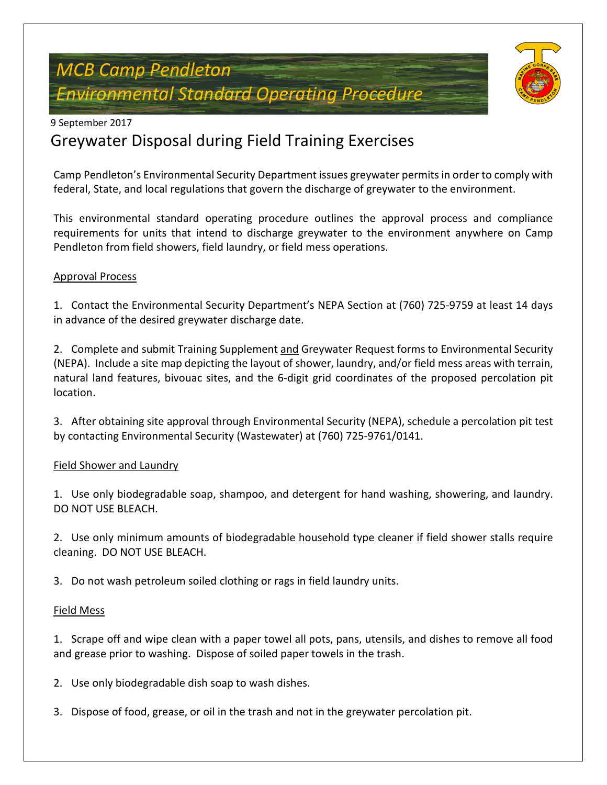# *MCB Camp Pendleton Environmental Standard Operating Procedure*



### 9 September 2017

# Greywater Disposal during Field Training Exercises

Camp Pendleton's Environmental Security Department issues greywater permits in order to comply with federal, State, and local regulations that govern the discharge of greywater to the environment.

This environmental standard operating procedure outlines the approval process and compliance requirements for units that intend to discharge greywater to the environment anywhere on Camp Pendleton from field showers, field laundry, or field mess operations.

#### Approval Process

1. Contact the Environmental Security Department's NEPA Section at (760) 725-9759 at least 14 days in advance of the desired greywater discharge date.

2. Complete and submit Training Supplement and Greywater Request forms to Environmental Security (NEPA). Include a site map depicting the layout of shower, laundry, and/or field mess areas with terrain, natural land features, bivouac sites, and the 6-digit grid coordinates of the proposed percolation pit location.

3. After obtaining site approval through Environmental Security (NEPA), schedule a percolation pit test by contacting Environmental Security (Wastewater) at (760) 725-9761/0141.

### Field Shower and Laundry

1. Use only biodegradable soap, shampoo, and detergent for hand washing, showering, and laundry. DO NOT USE BLEACH.

2. Use only minimum amounts of biodegradable household type cleaner if field shower stalls require cleaning. DO NOT USE BLEACH.

3. Do not wash petroleum soiled clothing or rags in field laundry units.

#### Field Mess

1. Scrape off and wipe clean with a paper towel all pots, pans, utensils, and dishes to remove all food and grease prior to washing. Dispose of soiled paper towels in the trash.

2. Use only biodegradable dish soap to wash dishes.

3. Dispose of food, grease, or oil in the trash and not in the greywater percolation pit.